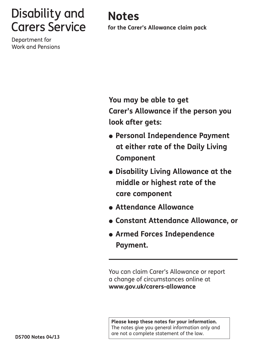# Disability and **Carers Service**

Department for **Work and Pensions**  **Notes**

**for the Carer's Allowance claim pack**

**You may be able to get Carer's Allowance if the person you look after gets:**

- **Personal Independence Payment at either rate of the Daily Living Component**
- $\bullet$  **Disability Living Allowance at the middle or highest rate of the care component**
- **e** Attendance Allowance
- **e Constant Attendance Allowance, or**
- **Armed Forces Independence Payment.**

You can claim Carer's Allowance or report a change of circumstances online at **www.gov.uk/carers-allowance**

**Please keep these notes for your information.** The notes give you general information only and are not a complete statement of the law. **DS700 Notes 04/13**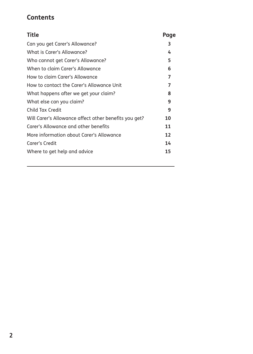# **Contents**

| <b>Title</b>                                          | Page |
|-------------------------------------------------------|------|
| Can you get Carer's Allowance?                        | 3    |
| What is Carer's Allowance?                            | 4    |
| Who cannot get Carer's Allowance?                     | 5    |
| When to claim Carer's Allowance                       | 6    |
| How to claim Carer's Allowance                        | 7    |
| How to contact the Carer's Allowance Unit             | 7    |
| What happens after we get your claim?                 | 8    |
| What else can you claim?                              | 9    |
| Child Tax Credit                                      | 9    |
| Will Carer's Allowance affect other benefits you get? | 10   |
| Carer's Allowance and other benefits                  | 11   |
| More information about Carer's Allowance              | 12   |
| Carer's Credit                                        | 14   |
| Where to get help and advice                          | 15   |
|                                                       |      |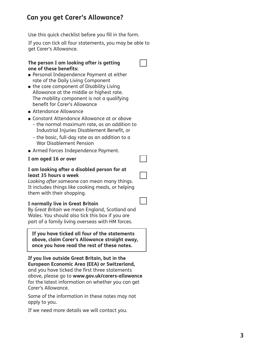## **Can you get Carer's Allowance?**

Use this quick checklist before you fill in the form.

If you can tick all four statements, you may be able to get Carer's Allowance.

### **The person I am looking after is getting one of these benefits:**



- **.** Personal Independence Payment at either rate of the Daily Living Component
- $\bullet$  the care component of Disability Living Allowance at the middle or highest rate. The mobility component is not a qualifying benefit for Carer's Allowance
- **Attendance Allowance**
- **.** Constant Attendance Allowance at or above
	- the normal maximum rate, as an addition to Industrial Injuries Disablement Benefit, or
	- the basic, full-day rate as an addition to a War Disablement Pension
- Armed Forces Independence Payment.

## **I am aged 16 or over**

### **I am looking after a disabled person for at least 35 hours a week**

*Looking after* someone can mean many things. It includes things like cooking meals, or helping them with their shopping.

### **I normally live in Great Britain**

By *Great Britain* we mean England, Scotland and Wales. You should also tick this box if you are part of a family living overseas with HM forces.

**If you have ticked all four of the statements above, claim Carer's Allowance straight away, once you have read the rest of these notes.**

**If you live outside Great Britain, but in the European Economic Area (EEA) or Switzerland,** and you have ticked the first three statements above, please go to **www.gov.uk/carers-allowance** for the latest information on whether you can get Carer's Allowance.

Some of the information in these notes may not apply to you.

If we need more details we will contact you.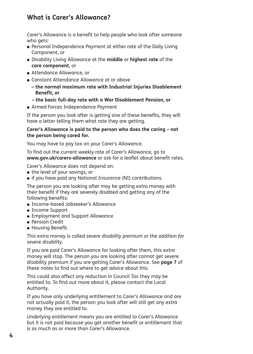# **What is Carer's Allowance?**

Carer's Allowance is a benefit to help people who look after someone who gets:

- Personal Independence Payment at either rate of the Daily Living Component, or
- <sup>l</sup> Disability Living Allowance at the **middle** or **highest rate** of the **care component**, or
- Attendance Allowance, or
- Constant Attendance Allowance at or above
	- **the normal maximum rate with Industrial Injuries Disablement Benefit, or**
	- **the basic full-day rate with a War Disablement Pension, or**
- Armed Forces Independence Payment

If the person you look after is getting one of these benefits, they will have a letter telling them what rate they are getting.

### **Carer's Allowance is paid to the person who does the caring – not the person being cared for.**

You may have to pay tax on your Carer's Allowance.

To find out the current weekly rate of Carer's Allowance, go to **www.gov.uk/carers-allowance** or ask for a leaflet about benefit rates.

Carer's Allowance does not depend on:

- $\bullet$  the level of your savings, or
- if you have paid any National Insurance (NI) contributions.

The person you are looking after may be getting extra money with their benefit if they are severely disabled and getting any of the following benefits:

- Income-based Jobseeker's Allowance
- Income Support
- **.** Employment and Support Allowance
- **Pension Credit**
- Housing Benefit.

This extra money is called *severe disability premium* or the *addition for severe disability*.

If you are paid Carer's Allowance for looking after them, this extra money will stop. The person you are looking after cannot get severe disability premium if you are getting Carer's Allowance. See **page 7** of these notes to find out where to get advice about this.

This could also affect any reduction in Council Tax they may be entitled to. To find out more about it, please contact the Local Authority.

If you have only underlying entitlement to Carer's Allowance and are not actually paid it, the person you look after will still get any extra money they are entitled to.

*Underlying entitlement* means you are entitled to Carer's Allowance but it is not paid because you get another benefit or entitlement that is as much as or more than Carer's Allowance.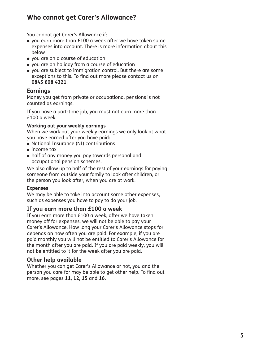## **Who cannot get Carer's Allowance?**

You cannot get Carer's Allowance if:

- you earn more than £100 a week after we have taken some expenses into account. There is more information about this below
- you are on a course of education
- you are on holiday from a course of education
- you are subject to immigration control. But there are some exceptions to this. To find out more please contact us on **0845 608 4321**.

### **Earnings**

Money you get from private or occupational pensions is not counted as earnings.

If you have a part-time job, you must not earn more than £100 a week.

### **Working out your weekly earnings**

When we work out your weekly earnings we only look at what you have earned after you have paid:

- National Insurance (NI) contributions
- $\bullet$  income tax
- half of any money you pay towards personal and occupational pension schemes.

We also allow up to half of the rest of your earnings for paying someone from outside your family to look after children, or the person you look after, when you are at work.

### **Expenses**

We may be able to take into account some other expenses, such as expenses you have to pay to do your job.

### **If you earn more than £100 a week**

If you earn more than £100 a week, after we have taken money off for expenses, we will not be able to pay your Carer's Allowance. How long your Carer's Allowance stops for depends on how often you are paid. For example, if you are paid monthly you will not be entitled to Carer's Allowance for the month after you are paid. If you are paid weekly, you will not be entitled to it for the week after you are paid.

## **Other help available**

Whether you can get Carer's Allowance or not, you and the person you care for may be able to get other help. To find out more, see pages **11**, **12**, **15** and **16**.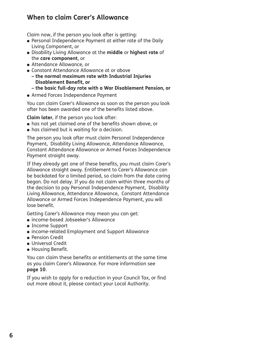## **When to claim Carer's Allowance**

Claim now, if the person you look after is getting:

- Personal Independence Payment at either rate of the Daily Living Component, or
- <sup>l</sup> Disability Living Allowance at the **middle** or **highest rate** of the **care component**, or
- **Attendance Allowance, or**
- Constant Attendance Allowance at or above
	- **the normal maximum rate with Industrial Injuries Disablement Benefit, or**
	- **the basic full-day rate with a War Disablement Pension, or**
- Armed Forces Independence Payment

You can claim Carer's Allowance as soon as the person you look after has been awarded one of the benefits listed above.

**Claim later**, if the person you look after:

- $\bullet$  has not yet claimed one of the benefits shown above, or
- $\bullet$  has claimed but is waiting for a decision.

The person you look after must claim Personal Independence Payment, Disability Living Allowance, Attendance Allowance, Constant Attendance Allowance or Armed Forces Independence Payment straight away.

If they already get one of these benefits, you must claim Carer's Allowance straight away. Entitlement to Carer's Allowance can be backdated for a limited period, so claim from the date caring began. Do not delay. If you do not claim within three months of the decision to pay Personal Independence Payment, Disability Living Allowance, Attendance Allowance, Constant Attendance Allowance or Armed Forces Independence Payment, you will lose benefit.

Getting Carer's Allowance may mean you can get:

- income-based Jobseeker's Allowance
- Income Support
- income-related Employment and Support Allowance
- **Pension Credit**
- Universal Credit
- **.** Housing Benefit.

You can claim these benefits or entitlements at the same time as you claim Carer's Allowance. For more information see **page 10**.

If you wish to apply for a reduction in your Council Tax, or find out more about it, please contact your Local Authority.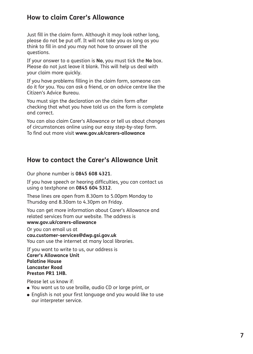## **How to claim Carer's Allowance**

Just fill in the claim form. Although it may look rather long, please do not be put off. It will not take you as long as you think to fill in and you may not have to answer all the questions.

If your answer to a question is **No**, you must tick the **No** box. Please do not just leave it blank. This will help us deal with your claim more quickly.

If you have problems filling in the claim form, someone can do it for you. You can ask a friend, or an advice centre like the Citizen's Advice Bureau.

You must sign the declaration on the claim form after checking that what you have told us on the form is complete and correct.

You can also claim Carer's Allowance or tell us about changes of circumstances online using our easy step-by-step form. To find out more visit **www.gov.uk/carers-allowance**

## **How to contact the Carer's Allowance Unit**

Our phone number is **0845 608 4321**.

If you have speech or hearing difficulties, you can contact us using a textphone on **0845 604 5312**.

These lines are open from 8.30am to 5.00pm Monday to Thursday and 8.30am to 4.30pm on Friday.

You can get more information about Carer's Allowance and related services from our website. The address is

## **www.gov.uk/carers-allowance**

Or you can email us at **cau.customer-services@dwp.gsi.gov.uk**

You can use the internet at many local libraries.

If you want to write to us, our address is **Carer's Allowance Unit Palatine House** 

**Lancaster Road Preston PR1 1HB.**

Please let us know if:

- <sup>l</sup> You want us to use braille, audio CD or large print, or
- English is not your first language and you would like to use our interpreter service.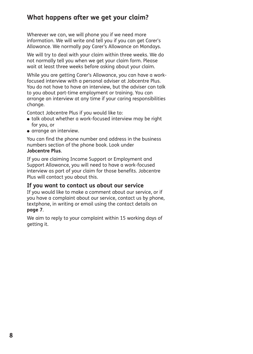## **What happens after we get your claim?**

Wherever we can, we will phone you if we need more information. We will write and tell you if you can get Carer's Allowance. We normally pay Carer's Allowance on Mondays.

We will try to deal with your claim within three weeks. We do not normally tell you when we get your claim form. Please wait at least three weeks before asking about your claim.

While you are getting Carer's Allowance, you can have a workfocused interview with a personal adviser at Jobcentre Plus. You do not have to have an interview, but the adviser can talk to you about part-time employment or training. You can arrange an interview at any time if your caring responsibilities change.

Contact Jobcentre Plus if you would like to:

- talk about whether a work-focused interview may be right for you, or
- $\bullet$  arrange an interview.

You can find the phone number and address in the business numbers section of the phone book. Look under **Jobcentre Plus**.

If you are claiming Income Support or Employment and Support Allowance, you will need to have a work-focused interview as part of your claim for those benefits. Jobcentre Plus will contact you about this.

## **If you want to contact us about our service**

If you would like to make a comment about our service, or if you have a complaint about our service, contact us by phone, textphone, in writing or email using the contact details on **page 7**.

We aim to reply to your complaint within 15 working days of getting it.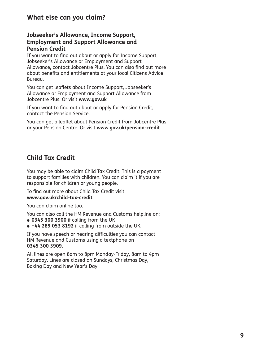## **What else can you claim?**

## **Jobseeker's Allowance, Income Support, Employment and Support Allowance and Pension Credit**

If you want to find out about or apply for Income Support, Jobseeker's Allowance or Employment and Support Allowance, contact Jobcentre Plus. You can also find out more about benefits and entitlements at your local Citizens Advice Bureau.

You can get leaflets about Income Support, Jobseeker's Allowance or Employment and Support Allowance from Jobcentre Plus. Or visit **www.gov.uk**

If you want to find out about or apply for Pension Credit, contact the Pension Service.

You can get a leaflet about Pension Credit from Jobcentre Plus or your Pension Centre. Or visit **www.gov.uk/pension-credit**

# **Child Tax Credit**

You may be able to claim Child Tax Credit. This is a payment to support families with children. You can claim it if you are responsible for children or young people.

To find out more about Child Tax Credit visit **www.gov.uk/child-tax-credit**

You can claim online too.

You can also call the HM Revenue and Customs helpline on:

- **0345 300 3900** if calling from the UK
- **+44 289 053 8192** if calling from outside the UK.

If you have speech or hearing difficulties you can contact HM Revenue and Customs using a textphone on **0345 300 3909**.

All lines are open 8am to 8pm Monday-Friday, 8am to 4pm Saturday. Lines are closed on Sundays, Christmas Day, Boxing Day and New Year's Day.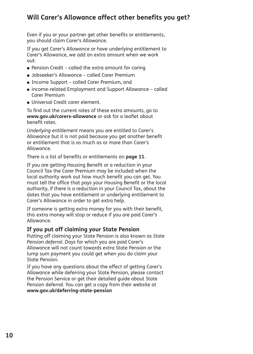# **Will Carer's Allowance affect other benefits you get?**

Even if you or your partner get other benefits or entitlements, you should claim Carer's Allowance.

If you get Carer's Allowance or have underlying entitlement to Carer's Allowance, we add an extra amount when we work out:

- $\bullet$  Pension Credit called the extra amount for caring
- Jobseeker's Allowance called Carer Premium
- Income Support called Carer Premium, and
- income-related Employment and Support Allowance called Carer Premium
- Universal Credit carer element.

To find out the current rates of these extra amounts, go to **www.gov.uk/carers-allowance** or ask for a leaflet about benefit rates.

*Underlying entitlement* means you are entitled to Carer's Allowance but it is not paid because you get another benefit or entitlement that is as much as or more than Carer's Allowance.

There is a list of benefits or entitlements on **page 11**.

If you are getting Housing Benefit or a reduction in your Council Tax the Carer Premium may be included when the local authority work out how much benefit you can get. You must tell the office that pays your Housing Benefit or the local authority, if there is a reduction in your Council Tax, about the dates that you have entitlement or underlying entitlement to Carer's Allowance in order to get extra help.

If someone is getting extra money for you with their benefit, this extra money will stop or reduce if you are paid Carer's Allowance.

## **If you put off claiming your State Pension**

Putting off claiming your State Pension is also known as *State Pension deferral*. Days for which you are paid Carer's Allowance will not count towards extra State Pension or the lump sum payment you could get when you do claim your State Pension.

If you have any questions about the effect of getting Carer's Allowance while deferring your State Pension, please contact the Pension Service or get their detailed guide about State Pension deferral. You can get a copy from their website at **www.gov.uk/deferring-state-pension**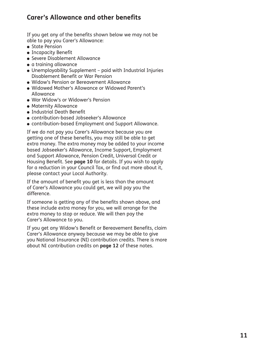# **Carer's Allowance and other benefits**

If you get any of the benefits shown below we may not be able to pay you Carer's Allowance:

- **.** State Pension
- **•** Incapacity Benefit
- **.** Severe Disablement Allowance
- $\bullet$  a training allowance
- Unemployability Supplement paid with Industrial Injuries Disablement Benefit or War Pension
- Widow's Pension or Bereavement Allowance
- Widowed Mother's Allowance or Widowed Parent's Allowance
- War Widow's or Widower's Pension
- **Maternity Allowance**
- **.** Industrial Death Benefit
- contribution-based Jobseeker's Allowance
- contribution-based Employment and Support Allowance.

If we do not pay you Carer's Allowance because you are getting one of these benefits, you may still be able to get extra money. The extra money may be added to your income based Jobseeker's Allowance, Income Support, Employment and Support Allowance, Pension Credit, Universal Credit or Housing Benefit. See **page 10** for details. If you wish to apply for a reduction in your Council Tax, or find out more about it, please contact your Local Authority.

If the amount of benefit you get is less than the amount of Carer's Allowance you could get, we will pay you the difference.

If someone is getting any of the benefits shown above, and these include extra money for you, we will arrange for the extra money to stop or reduce. We will then pay the Carer's Allowance to you.

If you get any Widow's Benefit or Bereavement Benefits, claim Carer's Allowance anyway because we may be able to give you National Insurance (NI) contribution credits. There is more about NI contribution credits on **page 12** of these notes.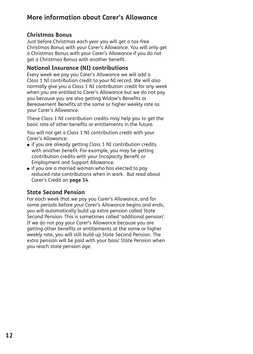## **More information about Carer's Allowance**

## **Christmas Bonus**

Just before Christmas each year you will get a tax-free Christmas Bonus with your Carer's Allowance. You will only get a Christmas Bonus with your Carer's Allowance if you do not get a Christmas Bonus with another benefit.

## **National Insurance (NI) contributions**

Every week we pay you Carer's Allowance we will add a Class 1 NI contribution credit to your NI record. We will also normally give you a Class 1 NI contribution credit for any week when you are entitled to Carer's Allowance but we do not pay you because you are also getting Widow's Benefits or Bereavement Benefits at the same or higher weekly rate as your Carer's Allowance.

These Class 1 NI contribution credits may help you to get the basic rate of other benefits or entitlements in the future.

You will not get a Class 1 NI contribution credit with your Carer's Allowance:

- if you are already getting Class 1 NI contribution credits with another benefit. For example, you may be getting contribution credits with your Incapacity Benefit or Employment and Support Allowance.
- if you are a married woman who has elected to pay reduced-rate contributions when in work. But read about Carer's Credit on **page 14**.

## **State Second Pension**

For each week that we pay you Carer's Allowance, and for some periods before your Carer's Allowance begins and ends, you will automatically build up extra pension called State Second Pension. This is sometimes called 'additional pension'. If we do not pay your Carer's Allowance because you are getting other benefits or entitlements at the same or higher weekly rate, you will still build up State Second Pension. The extra pension will be paid with your basic State Pension when you reach state pension age.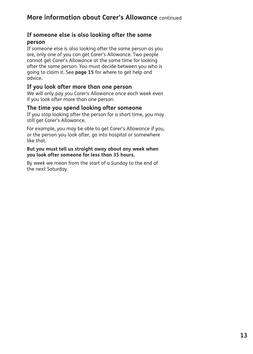## **If someone else is also looking after the same person**

If someone else is also looking after the same person as you are, only one of you can get Carer's Allowance. Two people cannot get Carer's Allowance at the same time for looking after the same person. You must decide between you who is going to claim it. See **page 15** for where to get help and advice.

### **If you look after more than one person**

We will only pay you Carer's Allowance once each week even if you look after more than one person.

## **The time you spend looking after someone**

If you stop looking after the person for a short time, you may still get Carer's Allowance.

For example, you may be able to get Carer's Allowance if you, or the person you look after, go into hospital or somewhere like that.

### **But you must tell us straight away about any week when you look after someone for less than 35 hours.**

By *week* we mean from the start of a Sunday to the end of the next Saturday.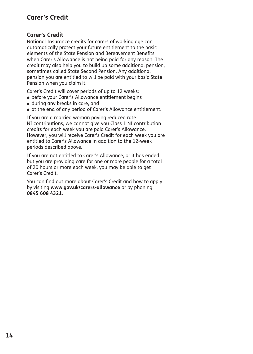# **Carer's Credit**

## **Carer's Credit**

National Insurance credits for carers of working age can automatically protect your future entitlement to the basic elements of the State Pension and Bereavement Benefits when Carer's Allowance is not being paid for any reason. The credit may also help you to build up some additional pension, sometimes called State Second Pension. Any additional pension you are entitled to will be paid with your basic State Pension when you claim it.

Carer's Credit will cover periods of up to 12 weeks:

- before your Carer's Allowance entitlement begins
- $\bullet$  during any breaks in care, and
- at the end of any period of Carer's Allowance entitlement.

If you are a married woman paying reduced rate NI contributions, we cannot give you Class 1 NI contribution credits for each week you are paid Carer's Allowance. However, you will receive Carer's Credit for each week you are entitled to Carer's Allowance in addition to the 12-week periods described above.

If you are not entitled to Carer's Allowance, or it has ended but you are providing care for one or more people for a total of 20 hours or more each week, you may be able to get Carer's Credit.

You can find out more about Carer's Credit and how to apply by visiting **www.gov.uk/carers-allowance** or by phoning **0845 608 4321**.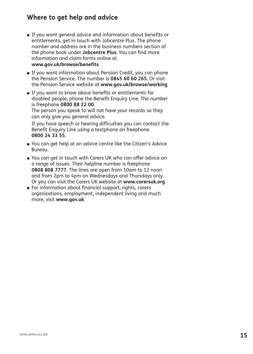## **Where to get help and advice**

- If you want general advice and information about benefits or entitlements, get in touch with Jobcentre Plus. The phone number and address are in the business numbers section of the phone book under **Jobcentre Plus**. You can find more information and claim forms online at **www.gov.uk/browse/benefits**
- If you want information about Pension Credit, you can phone the Pension Service. The number is **0845 60 60 265**. Or visit the Pension Service website at **www.gov.uk/browse/working**
- If you want to know about benefits or entitlements for disabled people, phone the Benefit Enquiry Line. The number is freephone **0800 88 22 00**. The person you speak to will not have your records so they can only give you general advice. If you have speech or hearing difficulties you can contact the

Benefit Enquiry Line using a textphone on freephone **0800 24 33 55**.

- You can get help at an advice centre like the Citizen's Advice Bureau.
- You can get in touch with Carers UK who can offer advice on a range of issues. Their helpline number is freephone **0808 808 7777**. The lines are open from 10am to 12 noon and from 2pm to 4pm on Wednesdays and Thursdays only. Or you can visit the Carers UK website at **www.carersuk.org**
- For information about financial support, rights, carers organisations, employment, independent living and much more, visit **www.gov.uk**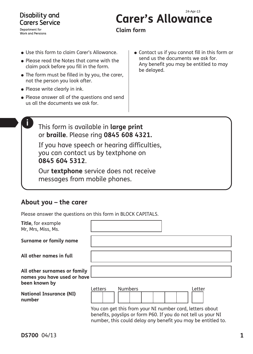# **Carer's Allowance**  24-Apr-13

Disability and **Carers Service** Department for **Work and Pensions** 

## **Claim form**

- Use this form to claim Carer's Allowance.
- Please read the Notes that came with the claim pack before you fill in the form.
- The form must be filled in by you, the carer, not the person you look after.
- Please write clearly in ink.

**i**

- Please answer all of the questions and send us all the documents we ask for.
- Contact us if you cannot fill in this form or send us the documents we ask for. Any benefit you may be entitled to may be delayed.

This form is available in **large print** or **braille**. Please ring **0845 608 4321.**

If you have speech or hearing difficulties, you can contact us by textphone on **0845 604 5312**.

Our **textphone** service does not receive messages from mobile phones.

## **About you – the carer**

Please answer the questions on this form in BLOCK CAPITALS.

| Title, for example<br>Mr, Mrs, Miss, Ms.                                     |         |                                                                                                                           |        |
|------------------------------------------------------------------------------|---------|---------------------------------------------------------------------------------------------------------------------------|--------|
| <b>Surname or family name</b>                                                |         |                                                                                                                           |        |
| All other names in full                                                      |         |                                                                                                                           |        |
| All other surnames or family<br>names you have used or have<br>been known by |         |                                                                                                                           |        |
| <b>National Insurance (NI)</b><br>number                                     | Letters | <b>Numbers</b>                                                                                                            | Letter |
|                                                                              |         | You can get this from your NI number card, letters about<br>benefits, payslips or form P60. If you do not tell us your NI |        |

number, this could delay any benefit you may be entitled to.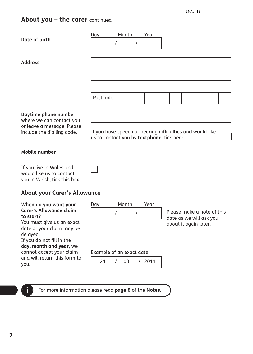## **About you – the carer** continued



**Address**

| Postcode |  |  |  |  |
|----------|--|--|--|--|

#### **Daytime phone number**

where we can contact you or leave a message. Please include the dialling code.

If you have speech or hearing difficulties and would like us to contact you by **textphone**, tick here.

#### **Mobile number**

If you live in Wales and would like us to contact you in Welsh, tick this box.

## **About your Carer's Allowance**

### **When do you want your Carer's Allowance claim to start?**

You must give us an exact date or your claim may be delayed.

If you do not fill in the **day, month and year**, we cannot accept your claim and will return this form to you.

| Day | Month | Year |  |
|-----|-------|------|--|
|     |       |      |  |

Please make a note of this date as we will ask you about it again later.

#### Example of an exact date

21 / 03 / 2011



For more information please read **page 6** of the **Notes**. **i**



**2**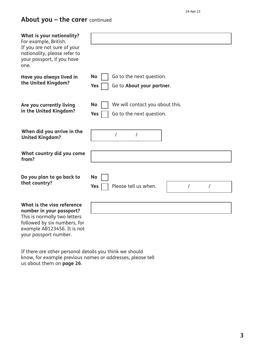# **About you – the carer** continued

| What is your nationality?<br>For example, British.<br>If you are not sure of your           |                                                            |
|---------------------------------------------------------------------------------------------|------------------------------------------------------------|
| nationality, please refer to<br>your passport, if you have<br>one.                          |                                                            |
| Have you always lived in                                                                    | Go to the next question.<br>No                             |
| the United Kingdom?                                                                         | Go to About your partner.<br><b>Yes</b>                    |
| Are you currently living                                                                    | We will contact you about this.<br><b>No</b>               |
| in the United Kingdom?                                                                      | Go to the next question.<br><b>Yes</b>                     |
| When did you arrive in the<br><b>United Kingdom?</b>                                        | $\prime$<br>I                                              |
| What country did you come<br>from?                                                          |                                                            |
| Do you plan to go back to                                                                   | No                                                         |
| that country?                                                                               | Please tell us when.<br>$\prime$<br>$\prime$<br><b>Yes</b> |
| What is the visa reference                                                                  |                                                            |
| number in your passport?                                                                    |                                                            |
| This is normally two letters<br>followed by six numbers, for<br>example AB123456. It is not |                                                            |
| your passport number.                                                                       |                                                            |

If there are other personal details you think we should know, for example previous names or addresses, please tell us about them on **page 26**.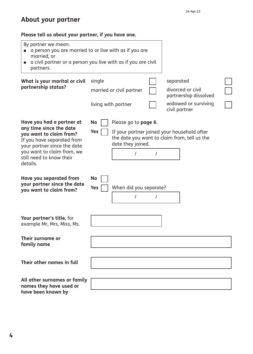# **About your partner**

**Please tell us about your partner, if you have one.** 

| By partner we mean:<br>married, or<br>partners.                                                                                                                                                                                                                              | a person you are married to or live with as if you are<br>a civil partner or a person you live with as if you are civil |                                                                                                  |
|------------------------------------------------------------------------------------------------------------------------------------------------------------------------------------------------------------------------------------------------------------------------------|-------------------------------------------------------------------------------------------------------------------------|--------------------------------------------------------------------------------------------------|
| What is your marital or civil<br>partnership status?                                                                                                                                                                                                                         | single<br>married or civil partner<br>living with partner                                                               | separated<br>divorced or civil<br>partnership dissolved<br>widowed or surviving<br>civil partner |
| Have you had a partner at<br>any time since the date<br>you want to claim from?<br>If you have separated from<br>your partner since the date<br>you want to claim from, we<br>still need to know their<br>details.<br>Have you separated from<br>your partner since the date | Please go to page 6.<br>No<br><b>Yes</b><br>date they joined.<br>No                                                     | If your partner joined your household after<br>the date you want to claim from, tell us the      |
| you want to claim from?                                                                                                                                                                                                                                                      | When did you separate?<br>Yes                                                                                           |                                                                                                  |
| Your partner's title, for<br>example Mr, Mrs, Miss, Ms.                                                                                                                                                                                                                      |                                                                                                                         |                                                                                                  |
| Their surname or<br>family name                                                                                                                                                                                                                                              |                                                                                                                         |                                                                                                  |
| Their other names in full                                                                                                                                                                                                                                                    |                                                                                                                         |                                                                                                  |
| All other surnames or family<br>names they have used or<br>have been known by                                                                                                                                                                                                |                                                                                                                         |                                                                                                  |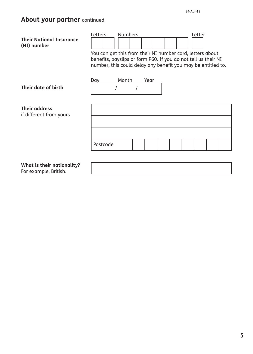# **About your partner** continued

|                                                     | Letters                                                                                                                                                                                     | <b>Numbers</b> |      |  | Letter |  |
|-----------------------------------------------------|---------------------------------------------------------------------------------------------------------------------------------------------------------------------------------------------|----------------|------|--|--------|--|
| <b>Their National Insurance</b><br>(NI) number      |                                                                                                                                                                                             |                |      |  |        |  |
|                                                     | You can get this from their NI number card, letters about<br>benefits, payslips or form P60. If you do not tell us their NI<br>number, this could delay any benefit you may be entitled to. |                |      |  |        |  |
|                                                     | Day                                                                                                                                                                                         | Month          | Year |  |        |  |
| Their date of birth                                 |                                                                                                                                                                                             |                |      |  |        |  |
| <b>Their address</b><br>if different from yours     | Postcode                                                                                                                                                                                    |                |      |  |        |  |
|                                                     |                                                                                                                                                                                             |                |      |  |        |  |
| What is their nationality?<br>For example, British. |                                                                                                                                                                                             |                |      |  |        |  |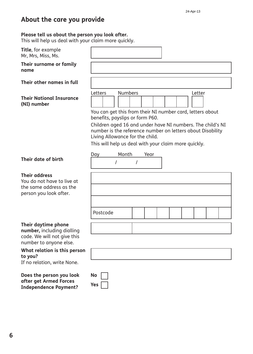# **About the care you provide**

### **Please tell us about the person you look after.**

This will help us deal with your claim more quickly.

| <b>Title, for example</b><br>Mr, Mrs, Miss, Ms.                                                            |                                                                                                                                                                                                                                                                                                                                                            |
|------------------------------------------------------------------------------------------------------------|------------------------------------------------------------------------------------------------------------------------------------------------------------------------------------------------------------------------------------------------------------------------------------------------------------------------------------------------------------|
| Their surname or family<br>name                                                                            |                                                                                                                                                                                                                                                                                                                                                            |
| Their other names in full                                                                                  |                                                                                                                                                                                                                                                                                                                                                            |
| <b>Their National Insurance</b><br>(NI) number                                                             | <b>Numbers</b><br>Letters<br>Letter<br>You can get this from their NI number card, letters about<br>benefits, payslips or form P60.<br>Children aged 16 and under have NI numbers. The child's NI<br>number is the reference number on letters about Disability<br>Living Allowance for the child.<br>This will help us deal with your claim more quickly. |
| Their date of birth                                                                                        | Month<br>Year<br>Day<br>I<br>I                                                                                                                                                                                                                                                                                                                             |
| <b>Their address</b><br>You do not have to live at<br>the same address as the<br>person you look after.    |                                                                                                                                                                                                                                                                                                                                                            |
|                                                                                                            | Postcode                                                                                                                                                                                                                                                                                                                                                   |
| Their daytime phone<br>number, including dialling<br>code. We will not give this<br>number to anyone else. |                                                                                                                                                                                                                                                                                                                                                            |
| What relation is this person<br>to you?<br>If no relation, write None.                                     |                                                                                                                                                                                                                                                                                                                                                            |
| Does the person you look<br>after get Armed Forces<br><b>Independence Payment?</b>                         | No<br>Yes                                                                                                                                                                                                                                                                                                                                                  |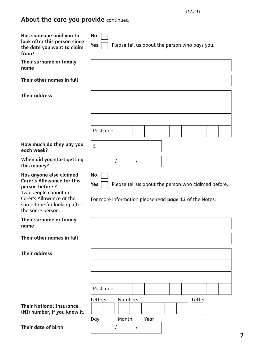# **About the care you provide** continued

| Has someone paid you to<br>look after this person since<br>the date you want to claim<br>from?                                                                                         | <b>No</b><br>Yes<br>Please tell us about the person who pays you.                                                                 |
|----------------------------------------------------------------------------------------------------------------------------------------------------------------------------------------|-----------------------------------------------------------------------------------------------------------------------------------|
| Their surname or family<br>name                                                                                                                                                        |                                                                                                                                   |
| Their other names in full                                                                                                                                                              |                                                                                                                                   |
| <b>Their address</b>                                                                                                                                                                   |                                                                                                                                   |
|                                                                                                                                                                                        |                                                                                                                                   |
|                                                                                                                                                                                        |                                                                                                                                   |
|                                                                                                                                                                                        | Postcode                                                                                                                          |
| How much do they pay you<br>each week?                                                                                                                                                 | £                                                                                                                                 |
| When did you start getting<br>this money?                                                                                                                                              | I<br>1                                                                                                                            |
| Has anyone else claimed<br><b>Carer's Allowance for this</b><br>person before?<br>Two people cannot get<br>Carer's Allowance at the<br>same time for looking after<br>the same person. | <b>No</b><br>Please tell us about the person who claimed before.<br>Yes<br>For more information please read page 13 of the Notes. |
| Their surname or family<br>name                                                                                                                                                        |                                                                                                                                   |
| Their other names in full                                                                                                                                                              |                                                                                                                                   |
| <b>Their address</b>                                                                                                                                                                   |                                                                                                                                   |
|                                                                                                                                                                                        |                                                                                                                                   |
|                                                                                                                                                                                        |                                                                                                                                   |
|                                                                                                                                                                                        | Postcode                                                                                                                          |
| <b>Their National Insurance</b><br>(NI) number, if you know it.                                                                                                                        | <b>Numbers</b><br>Letters<br>Letter<br>Month<br>Year                                                                              |
| Their date of birth                                                                                                                                                                    | Day<br>Ι                                                                                                                          |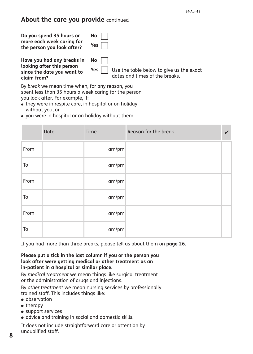## **About the care you provide** continued

| Do you spend 35 hours or<br>more each week caring for<br>the person you look after? | <b>No</b><br><b>Yes</b>                  |
|-------------------------------------------------------------------------------------|------------------------------------------|
| Have you had any breaks in                                                          | No                                       |
| looking after this person                                                           | Yes                                      |
| since the date you want to                                                          | Use the table below to give us the exact |
| claim from?                                                                         | dates and times of the breaks.           |

By *break* we mean time when, for any reason, you spent less than 35 hours a week caring for the person you look after. For example, if:

- $\bullet$  they were in respite care, in hospital or on holiday without you, or
- you were in hospital or on holiday without them.

|      | Date | Time  | Reason for the break | $\checkmark$ |
|------|------|-------|----------------------|--------------|
| From |      | am/pm |                      |              |
| To   |      | am/pm |                      |              |
| From |      | am/pm |                      |              |
| To   |      | am/pm |                      |              |
| From |      | am/pm |                      |              |
| To   |      | am/pm |                      |              |

If you had more than three breaks, please tell us about them on **page 26**.

#### **Please put a tick in the last column if you or the person you look after were getting medical or other treatment as an in-patient in a hospital or similar place.**

By *medical treatment* we mean things like surgical treatment or the administration of drugs and injections.

By *other treatment* we mean nursing services by professionally trained staff. This includes things like:

- **o** observation
- $\bullet$  therapy
- $\bullet$  support services
- advice and training in social and domestic skills.

It does not include straightforward care or attention by unqualified staff.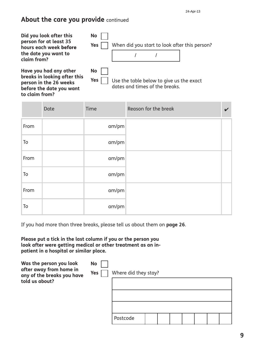# **About the care you provide** continued

**to claim from?**

| Did you look after this<br>person for at least 35<br>hours each week before<br>the date you want to<br>claim from? | <b>No</b><br><b>Yes</b> | When did you start to look after this person?                              |
|--------------------------------------------------------------------------------------------------------------------|-------------------------|----------------------------------------------------------------------------|
| Have you had any other<br>breaks in looking after this<br>person in the 26 weeks<br>before the date you want       | <b>No</b><br><b>Yes</b> | Use the table below to give us the exact<br>dates and times of the breaks. |

|      | Date | Time  | Reason for the break | $\checkmark$ |
|------|------|-------|----------------------|--------------|
| From |      | am/pm |                      |              |
| To   |      | am/pm |                      |              |
| From |      | am/pm |                      |              |
| To   |      | am/pm |                      |              |
| From |      | am/pm |                      |              |
| To   |      | am/pm |                      |              |

If you had more than three breaks, please tell us about them on **page 26**.

**Please put a tick in the last column if you or the person you look after were getting medical or other treatment as an inpatient in a hospital or similar place.**

| Was the person you look<br>after away from home in<br>any of the breaks you have | <b>No</b><br>Yes | Where did they stay? |  |  |  |  |
|----------------------------------------------------------------------------------|------------------|----------------------|--|--|--|--|
| told us about?                                                                   |                  |                      |  |  |  |  |
|                                                                                  |                  |                      |  |  |  |  |
|                                                                                  |                  |                      |  |  |  |  |
|                                                                                  |                  | Postcode             |  |  |  |  |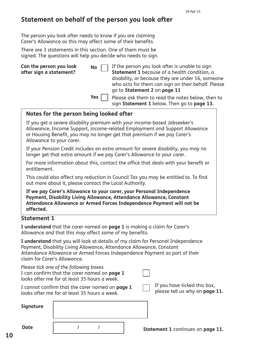## **Statement on behalf of the person you look after**

The person you look after needs to know if you are claiming Carer's Allowance as this may affect some of their benefits.

There are 3 statements in this section. One of them must be signed. The questions will help you decide who needs to sign.

**Can the person you look after sign a statement?**

- **No**
- If the person you look after is unable to sign **Statement 1** because of a health condition, a disability, or because they are under 16, someone who acts for them can sign on their behalf. Please go to **Statement 2** on **page 11**

**Yes**

Please ask them to read the notes below, then to sign **Statement 1** below**.** Then go to **page 13.**

## **Notes for the person being looked after**

If you get a severe disability premium with your income-based Jobseeker's Allowance, Income Support, income-related Employment and Support Allowance or Housing Benefit, you may no longer get that premium if we pay Carer's Allowance to your carer.

If your Pension Credit includes an extra amount for severe disability, you may no longer get that extra amount if we pay Carer's Allowance to your carer.

For more information about this, contact the office that deals with your benefit or entitlement.

This could also affect any reduction in Council Tax you may be entitled to. To find out more about it, please contact the Local Authority.

**If we pay Carer's Allowance to your carer, your Personal Independence Payment, Disability Living Allowance, Attendance Allowance, Constant Attendance Allowance or Armed Forces Independence Payment will not be affected.** 

## **Statement 1**

**I understand** that the carer named on **page 1** is making a claim for Carer's Allowance and that this may affect some of my benefits.

**I understand** that you will look at details of my claim for Personal Independence Payment, Disability Living Allowance, Attendance Allowance, Constant Attendance Allowance or Armed Forces Independence Payment as part of their claim for Carer's Allowance.

*Please tick one of the following boxes.* I can confirm that the carer named on **page 1** looks after me for at least 35 hours a week.

| I cannot confirm that the carer named on page 1 |
|-------------------------------------------------|
| looks after me for at least 35 hours a week.    |

**Date** / / **Signature**

**Statement 1** continues on **page 11.**

If you have ticked this box, please tell us why on **page 11.**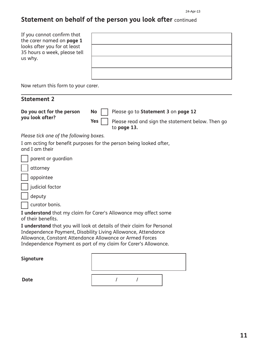# **Statement on behalf of the person you look after** continued

| If you cannot confirm that                                   |  |
|--------------------------------------------------------------|--|
| the carer named on page 1                                    |  |
| looks after you for at least<br>35 hours a week, please tell |  |
| us why.                                                      |  |

Now return this form to your carer.

| <b>Statement 2</b>                                                                                                                                                                                  |                    |                                                   |  |  |  |
|-----------------------------------------------------------------------------------------------------------------------------------------------------------------------------------------------------|--------------------|---------------------------------------------------|--|--|--|
| Do you act for the person                                                                                                                                                                           | <b>No</b>          | Please go to Statement 3 on page 12               |  |  |  |
| you look after?                                                                                                                                                                                     | Yes<br>to page 13. | Please read and sign the statement below. Then go |  |  |  |
| Please tick one of the following boxes.                                                                                                                                                             |                    |                                                   |  |  |  |
| I am acting for benefit purposes for the person being looked after,<br>and I am their                                                                                                               |                    |                                                   |  |  |  |
| parent or guardian                                                                                                                                                                                  |                    |                                                   |  |  |  |
| attorney                                                                                                                                                                                            |                    |                                                   |  |  |  |
| appointee                                                                                                                                                                                           |                    |                                                   |  |  |  |
| judicial factor                                                                                                                                                                                     |                    |                                                   |  |  |  |
| deputy                                                                                                                                                                                              |                    |                                                   |  |  |  |
| curator bonis.                                                                                                                                                                                      |                    |                                                   |  |  |  |
| I understand that my claim for Carer's Allowance may affect some<br>of their benefits.                                                                                                              |                    |                                                   |  |  |  |
| I understand that you will look at details of their claim for Personal<br>Independence Payment, Disability Living Allowance, Attendance<br>Allowance, Constant Attendance Allowance or Armed Forces |                    |                                                   |  |  |  |

Independence Payment as part of my claim for Carer's Allowance.

| Signature   |  |  |  |
|-------------|--|--|--|
| <b>Date</b> |  |  |  |

**Signature**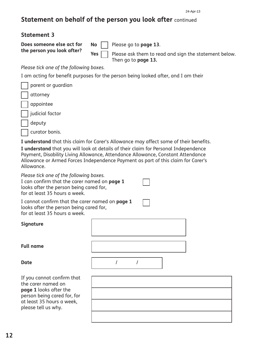## **Statement on behalf of the person you look after** continued

## **Statement 3**

**Does someone else act for the person you look after?**

| No             | $\mathsf{I}$ |
|----------------|--------------|
| Yes $\sqrt{ }$ |              |

Please go to **page 13**.

Please ask them to read and sign the statement below. Then go to **page 13.**

*Please tick one of the following boxes.*

I am acting for benefit purposes for the person being looked after, and I am their

|              | parent or guardian |
|--------------|--------------------|
|              | attorney           |
| $\mathbf{I}$ | appointee          |
|              | judicial factor    |
|              | deputy             |

curator bonis.

**I understand** that this claim for Carer's Allowance may affect some of their benefits. **I understand** that you will look at details of their claim for Personal Independence Payment, Disability Living Allowance, Attendance Allowance, Constant Attendance Allowance or Armed Forces Independence Payment as part of this claim for Carer's Allowance.

| Please tick one of the following boxes.      |  |
|----------------------------------------------|--|
| I can confirm that the carer named on page 1 |  |
| looks after the person being cared for,      |  |
| for at least 35 hours a week.                |  |
|                                              |  |

I cannot confirm that the carer named on **page 1** looks after the person being cared for, for at least 35 hours a week.

| Signature        |  |
|------------------|--|
| <b>Full name</b> |  |
| <b>Date</b>      |  |

If you cannot confirm that the carer named on **page 1** looks after the person being cared for, for at least 35 hours a week, please tell us why.

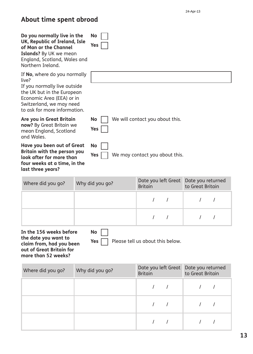# **About time spent abroad**

| Do you normally live in the<br>UK, Republic of Ireland, Isle<br>of Man or the Channel<br>Islands? By UK we mean<br>England, Scotland, Wales and<br>Northern Ireland.                         | No<br>Yes        |                                 |                     |                                       |   |
|----------------------------------------------------------------------------------------------------------------------------------------------------------------------------------------------|------------------|---------------------------------|---------------------|---------------------------------------|---|
| If No, where do you normally<br>live?<br>If you normally live outside<br>the UK but in the European<br>Economic Area (EEA) or in<br>Switzerland, we may need<br>to ask for more information. |                  |                                 |                     |                                       |   |
| Are you in Great Britain<br>now? By Great Britain we<br>mean England, Scotland<br>and Wales.                                                                                                 | <b>No</b><br>Yes | We will contact you about this. |                     |                                       |   |
| Have you been out of Great<br>Britain with the person you<br>look after for more than<br>four weeks at a time, in the<br>last three years?                                                   | No<br>Yes        | We may contact you about this.  |                     |                                       |   |
| Where did you go?                                                                                                                                                                            | Why did you go?  | <b>Britain</b>                  | Date you left Great | Date you returned<br>to Great Britain |   |
|                                                                                                                                                                                              |                  |                                 |                     | $\prime$                              | I |
|                                                                                                                                                                                              |                  | $\prime$                        |                     | $\prime$                              |   |

| In the 156 weeks before<br>the date you want to<br>claim from, had you been<br>out of Great Britain for | $No$    <br><b>Yes</b> $\vert \cdot \vert$ Please tell us about this below. |
|---------------------------------------------------------------------------------------------------------|-----------------------------------------------------------------------------|
| more than 52 weeks?                                                                                     |                                                                             |

| Where did you go? | Why did you go? | <b>Britain</b> |  | Date you left Great Date you returned<br>to Great Britain |  |
|-------------------|-----------------|----------------|--|-----------------------------------------------------------|--|
|                   |                 |                |  |                                                           |  |
|                   |                 |                |  |                                                           |  |
|                   |                 |                |  |                                                           |  |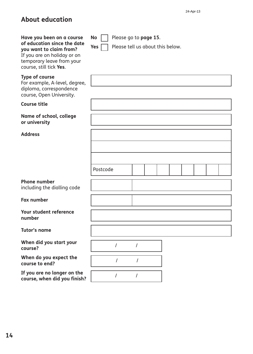# **About education**

| Have you been on a course<br>of education since the date<br>you want to claim from?<br>If you are on holiday or on<br>temporary leave from your<br>course, still tick Yes. | <b>No</b><br>Yes | Please go to page 15.<br>Please tell us about this below. |          |  |  |  |  |
|----------------------------------------------------------------------------------------------------------------------------------------------------------------------------|------------------|-----------------------------------------------------------|----------|--|--|--|--|
| <b>Type of course</b><br>For example, A-level, degree,<br>diploma, correspondence<br>course, Open University.                                                              |                  |                                                           |          |  |  |  |  |
| <b>Course title</b>                                                                                                                                                        |                  |                                                           |          |  |  |  |  |
| Name of school, college<br>or university                                                                                                                                   |                  |                                                           |          |  |  |  |  |
| <b>Address</b>                                                                                                                                                             |                  |                                                           |          |  |  |  |  |
|                                                                                                                                                                            |                  |                                                           |          |  |  |  |  |
|                                                                                                                                                                            |                  |                                                           |          |  |  |  |  |
|                                                                                                                                                                            | Postcode         |                                                           |          |  |  |  |  |
| <b>Phone number</b><br>including the dialling code                                                                                                                         |                  |                                                           |          |  |  |  |  |
| <b>Fax number</b>                                                                                                                                                          |                  |                                                           |          |  |  |  |  |
| Your student reference<br>number                                                                                                                                           |                  |                                                           |          |  |  |  |  |
| <b>Tutor's name</b>                                                                                                                                                        |                  |                                                           |          |  |  |  |  |
| When did you start your<br>course?                                                                                                                                         |                  | I                                                         | $\prime$ |  |  |  |  |
| When do you expect the<br>course to end?                                                                                                                                   |                  |                                                           |          |  |  |  |  |
| If you are no longer on the<br>course, when did you finish?                                                                                                                |                  |                                                           |          |  |  |  |  |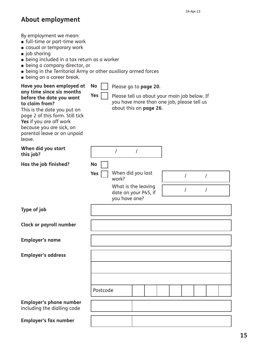# **About employment**

By employment we mean:

- $\bullet$  full-time or part-time work
- $\bullet$  casual or temporary work
- $\bullet$  job sharing
- $\bullet$  being included in a tax return as a worker
- $\bullet$  being a company director, or
- being in the Territorial Army or other auxiliary armed forces
- $\bullet$  being on a career break.

| Have you been employed at<br>any time since six months<br>before the date you want<br>to claim from?<br>This is the date you put on<br>page 2 of this form. Still tick<br>Yes if you are off work<br>because you are sick, on<br>parental leave or on unpaid<br>leave. | <b>No</b><br><b>Yes</b> | Please go to page 20.<br>Please tell us about your main job below. If<br>you have more than one job, please tell us<br>about this on page 26. |          |  |  |   |        |  |
|------------------------------------------------------------------------------------------------------------------------------------------------------------------------------------------------------------------------------------------------------------------------|-------------------------|-----------------------------------------------------------------------------------------------------------------------------------------------|----------|--|--|---|--------|--|
| When did you start<br>this job?                                                                                                                                                                                                                                        |                         |                                                                                                                                               | $\prime$ |  |  |   |        |  |
| Has the job finished?                                                                                                                                                                                                                                                  | <b>No</b><br><b>Yes</b> | When did you last<br>work?<br>What is the leaving<br>date on your P45, if<br>you have one?                                                    |          |  |  | 7 | I<br>I |  |
| Type of job                                                                                                                                                                                                                                                            |                         |                                                                                                                                               |          |  |  |   |        |  |
| Clock or payroll number                                                                                                                                                                                                                                                |                         |                                                                                                                                               |          |  |  |   |        |  |
| <b>Employer's name</b>                                                                                                                                                                                                                                                 |                         |                                                                                                                                               |          |  |  |   |        |  |
| <b>Employer's address</b>                                                                                                                                                                                                                                              |                         |                                                                                                                                               |          |  |  |   |        |  |
|                                                                                                                                                                                                                                                                        | Postcode                |                                                                                                                                               |          |  |  |   |        |  |
|                                                                                                                                                                                                                                                                        |                         |                                                                                                                                               |          |  |  |   |        |  |
| <b>Employer's phone number</b><br>including the dialling code                                                                                                                                                                                                          |                         |                                                                                                                                               |          |  |  |   |        |  |
| <b>Employer's fax number</b>                                                                                                                                                                                                                                           |                         |                                                                                                                                               |          |  |  |   |        |  |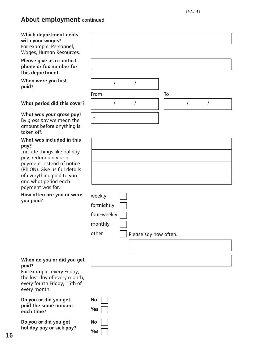## **About employment** continued

### **What was included in this pay? Which department deals with your wages?** For example, Personnel, Wages, Human Resources. **Please give us a contact phone or fax number for this department. When were you last paid?** / / **What period did this cover? What was your gross pay?** By *gross pay* we mean the amount before anything is taken off. £ / / / / From To

Include things like holiday pay, redundancy or a payment instead of notice (PILON). Give us full details of everything paid to you and what period each payment was for.

**How often are you or were you paid?**

| weekly      |                       |
|-------------|-----------------------|
| fortnightly |                       |
| four-weekly |                       |
| monthly     |                       |
| other       | Please say how often. |
|             |                       |

### **When do you or did you get paid?**

For example, every Friday, the last day of every month, every fourth Friday, 15th of every month.

#### **Do you or did you get paid the same amount each time?**

**Do you or did you get holiday pay or sick pay?**

| No<br>Yes |  |
|-----------|--|
| No        |  |
| Yes       |  |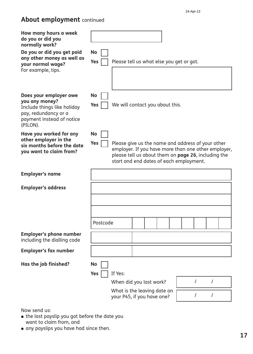# **About employment** continued

| How many hours a week<br>do you or did you<br>normally work?<br>Do you or did you get paid<br>any other money as well as<br>your normal wage?<br>For example, tips. | <b>No</b><br><b>Yes</b><br>Please tell us what else you get or got.                                                                                                                                                            |
|---------------------------------------------------------------------------------------------------------------------------------------------------------------------|--------------------------------------------------------------------------------------------------------------------------------------------------------------------------------------------------------------------------------|
| Does your employer owe<br>you any money?<br>Include things like holiday<br>pay, redundancy or a<br>payment instead of notice<br>(PILON).                            | No<br>We will contact you about this.<br>Yes                                                                                                                                                                                   |
| Have you worked for any<br>other employer in the<br>six months before the date<br>you want to claim from?                                                           | No<br><b>Yes</b><br>Please give us the name and address of your other<br>employer. If you have more than one other employer,<br>please tell us about them on page 26, including the<br>start and end dates of each employment. |
| <b>Employer's name</b>                                                                                                                                              |                                                                                                                                                                                                                                |
| <b>Employer's address</b>                                                                                                                                           |                                                                                                                                                                                                                                |
|                                                                                                                                                                     | Postcode                                                                                                                                                                                                                       |
| <b>Employer's phone number</b><br>including the dialling code                                                                                                       |                                                                                                                                                                                                                                |
| <b>Employer's fax number</b>                                                                                                                                        |                                                                                                                                                                                                                                |
| Has the job finished?                                                                                                                                               | No<br>If Yes:<br>Yes                                                                                                                                                                                                           |
|                                                                                                                                                                     | $\prime$<br>When did you last work?<br>What is the leaving date on                                                                                                                                                             |
|                                                                                                                                                                     | your P45, if you have one?                                                                                                                                                                                                     |

Now send us:

- $\bullet$  the last payslip you got before the date you want to claim from, and
- $\bullet$  any payslips you have had since then.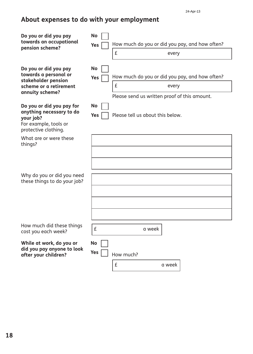24-Apr-13

# **About expenses to do with your employment**

| Do you or did you pay<br>towards an occupational                                                                    | <b>No</b><br>How much do you or did you pay, and how often?<br><b>Yes</b>                                                               |
|---------------------------------------------------------------------------------------------------------------------|-----------------------------------------------------------------------------------------------------------------------------------------|
| pension scheme?                                                                                                     | £<br>every                                                                                                                              |
| Do you or did you pay<br>towards a personal or<br>stakeholder pension<br>scheme or a retirement<br>annuity scheme?  | <b>No</b><br>How much do you or did you pay, and how often?<br><b>Yes</b><br>£<br>every<br>Please send us written proof of this amount. |
| Do you or did you pay for<br>anything necessary to do<br>your job?<br>For example, tools or<br>protective clothing. | <b>No</b><br>Please tell us about this below.<br><b>Yes</b>                                                                             |
| What are or were these<br>things?                                                                                   |                                                                                                                                         |
| Why do you or did you need<br>these things to do your job?                                                          |                                                                                                                                         |
| How much did these things<br>cost you each week?                                                                    | £<br>a week                                                                                                                             |
| While at work, do you or<br>did you pay anyone to look<br>after your children?                                      | No<br>Yes<br>How much?<br>a week<br>£                                                                                                   |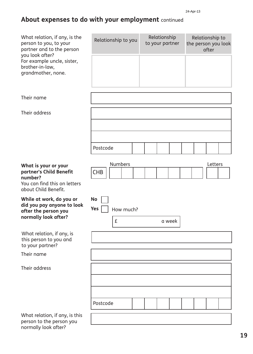# **About expenses to do with your employment** continued

| What relation, if any, is the<br>person to you, to your<br>partner and to the person<br>you look after? | Relationship to you                       | Relationship<br>to your partner | Relationship to<br>the person you look<br>after |  |  |
|---------------------------------------------------------------------------------------------------------|-------------------------------------------|---------------------------------|-------------------------------------------------|--|--|
| For example uncle, sister,<br>brother-in-law,<br>grandmother, none.                                     |                                           |                                 |                                                 |  |  |
|                                                                                                         |                                           |                                 |                                                 |  |  |
| Their name                                                                                              |                                           |                                 |                                                 |  |  |
| Their address                                                                                           |                                           |                                 |                                                 |  |  |
|                                                                                                         |                                           |                                 |                                                 |  |  |
|                                                                                                         |                                           |                                 |                                                 |  |  |
|                                                                                                         | Postcode                                  |                                 |                                                 |  |  |
|                                                                                                         |                                           |                                 |                                                 |  |  |
| What is your or your<br>partner's Child Benefit<br>number?                                              | <b>Numbers</b><br><b>CHB</b>              |                                 | Letters                                         |  |  |
| You can find this on letters<br>about Child Benefit.                                                    |                                           |                                 |                                                 |  |  |
| While at work, do you or<br>did you pay anyone to look<br>after the person you<br>normally look after?  | <b>No</b><br><b>Yes</b><br>How much?<br>£ | a week                          |                                                 |  |  |
|                                                                                                         |                                           |                                 |                                                 |  |  |
| What relation, if any, is<br>this person to you and<br>to your partner?                                 |                                           |                                 |                                                 |  |  |
| Their name                                                                                              |                                           |                                 |                                                 |  |  |
| Their address                                                                                           |                                           |                                 |                                                 |  |  |
|                                                                                                         |                                           |                                 |                                                 |  |  |
|                                                                                                         |                                           |                                 |                                                 |  |  |
|                                                                                                         | Postcode                                  |                                 |                                                 |  |  |
| What relation, if any, is this<br>person to the person you<br>normally look after?                      |                                           |                                 |                                                 |  |  |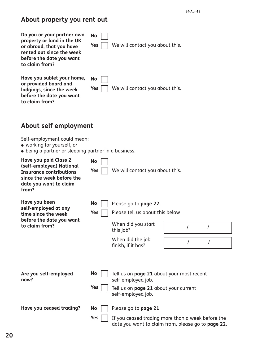# **About property you rent out**

| Do you or your partner own<br>property or land in the UK<br>or abroad, that you have<br>rented out since the week<br>before the date you want<br>to claim from? | No<br>We will contact you about this.<br><b>Yes</b> |
|-----------------------------------------------------------------------------------------------------------------------------------------------------------------|-----------------------------------------------------|
| Have you sublet your home,<br>or provided board and<br>lodgings, since the week<br>before the date you want<br>to claim from?                                   | No<br>We will contact you about this.<br><b>Yes</b> |

# **About self employment**

Self-employment could mean:

- $\bullet$  working for yourself, or
- being a partner or sleeping partner in a business.

| <b>Have you paid Class 2</b><br>(self-employed) National<br><b>Insurance contributions</b><br>since the week before the<br>date you want to claim<br>from? | <b>No</b><br><b>Yes</b> | We will contact you about this.                                                                                                       |                                                                                                         |
|------------------------------------------------------------------------------------------------------------------------------------------------------------|-------------------------|---------------------------------------------------------------------------------------------------------------------------------------|---------------------------------------------------------------------------------------------------------|
| Have you been<br>self-employed at any<br>time since the week<br>before the date you want<br>to claim from?                                                 | No<br><b>Yes</b>        | Please go to page 22.<br>Please tell us about this below<br>When did you start<br>this job?<br>When did the job<br>finish, if it has? | 1<br>I                                                                                                  |
| Are you self-employed<br>now?                                                                                                                              | <b>No</b><br><b>Yes</b> | Tell us on page 21 about your most recent<br>self-employed job.<br>Tell us on page 21 about your current<br>self-employed job.        |                                                                                                         |
| Have you ceased trading?                                                                                                                                   | <b>No</b><br>Yes        | Please go to page 21                                                                                                                  | If you ceased trading more than a week before the<br>date you want to claim from, please go to page 22. |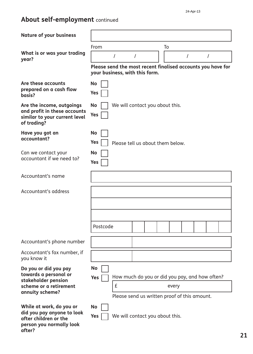# **About self-employment** continued

**after?**

| <b>Nature of your business</b>                                                                                                              |                                                                                               |  |  |  |  |  |
|---------------------------------------------------------------------------------------------------------------------------------------------|-----------------------------------------------------------------------------------------------|--|--|--|--|--|
|                                                                                                                                             | From<br>To                                                                                    |  |  |  |  |  |
| What is or was your trading<br>year?                                                                                                        |                                                                                               |  |  |  |  |  |
|                                                                                                                                             | Please send the most recent finalised accounts you have for<br>your business, with this form. |  |  |  |  |  |
| Are these accounts<br>prepared on a cash flow<br>basis?                                                                                     | No<br>Yes                                                                                     |  |  |  |  |  |
| Are the income, outgoings<br>and profit in these accounts<br>similar to your current level<br>of trading?                                   | No<br>We will contact you about this.<br>Yes                                                  |  |  |  |  |  |
| Have you got an<br>accountant?                                                                                                              | No<br>Yes<br>Please tell us about them below.                                                 |  |  |  |  |  |
| Can we contact your<br>accountant if we need to?                                                                                            | <b>No</b><br>Yes                                                                              |  |  |  |  |  |
| Accountant's name                                                                                                                           |                                                                                               |  |  |  |  |  |
| Accountant's address                                                                                                                        |                                                                                               |  |  |  |  |  |
|                                                                                                                                             |                                                                                               |  |  |  |  |  |
|                                                                                                                                             |                                                                                               |  |  |  |  |  |
|                                                                                                                                             | Postcode                                                                                      |  |  |  |  |  |
| Accountant's phone number                                                                                                                   |                                                                                               |  |  |  |  |  |
| Accountant's fax number, if<br>you know it                                                                                                  |                                                                                               |  |  |  |  |  |
| <b>No</b><br>Do you or did you pay<br>towards a personal or<br>How much do you or did you pay, and how often?<br>Yes<br>stakeholder pension |                                                                                               |  |  |  |  |  |
| scheme or a retirement<br>annuity scheme?                                                                                                   | £<br>every                                                                                    |  |  |  |  |  |
|                                                                                                                                             | Please send us written proof of this amount.                                                  |  |  |  |  |  |
| While at work, do you or<br>did you pay anyone to look<br>after children or the<br>person you normally look                                 | No<br>We will contact you about this.<br>Yes                                                  |  |  |  |  |  |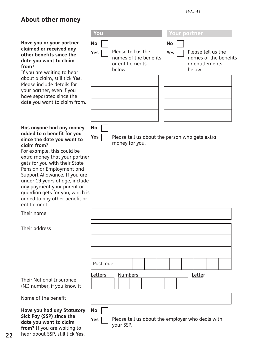## **About other money**

#### **Have you or your partner claimed or received any other benefits since the date you want to claim from?**

If you are waiting to hear about a claim, still tick **Yes**. Please include details for your partner, even if you have separated since the date you want to claim from.

#### **Has anyone had any money added to a benefit for you since the date you want to claim from?**

For example, this could be extra money that your partner gets for you with their State Pension or Employment and Support Allowance. If you are under 19 years of age, include any payment your parent or guardian gets for you, which is added to any other benefit or entitlement.

hear about SSP, still tick **Yes**.

| You              |                                                                          | Your partner     |                                                                          |
|------------------|--------------------------------------------------------------------------|------------------|--------------------------------------------------------------------------|
| No<br>Yes        | Please tell us the<br>names of the benefits<br>or entitlements<br>below. | No<br><b>Yes</b> | Please tell us the<br>names of the benefits<br>or entitlements<br>below. |
|                  |                                                                          |                  |                                                                          |
| No<br><b>Yes</b> | Please tell us about the person who gets extra<br>money for you.         |                  |                                                                          |

| Their name                                                                                                             |                                                                            |
|------------------------------------------------------------------------------------------------------------------------|----------------------------------------------------------------------------|
| Their address                                                                                                          |                                                                            |
|                                                                                                                        |                                                                            |
|                                                                                                                        |                                                                            |
|                                                                                                                        | Postcode                                                                   |
| <b>Their National Insurance</b><br>(NI) number, if you know it                                                         | <b>Numbers</b><br>Letters<br>Letter                                        |
| Name of the benefit                                                                                                    |                                                                            |
| <b>Have you had any Statutory</b><br>Sick Pay (SSP) since the<br>date you want to claim<br>from? If you are waiting to | No<br>Please tell us about the employer who deals with<br>Yes<br>your SSP. |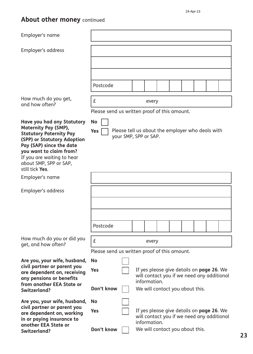# **About other money** continued

| Employer's name                                                                                                                                                                                                                                              |                                              |  |  |                                                                                                                 |  |  |  |  |  |
|--------------------------------------------------------------------------------------------------------------------------------------------------------------------------------------------------------------------------------------------------------------|----------------------------------------------|--|--|-----------------------------------------------------------------------------------------------------------------|--|--|--|--|--|
| Employer's address                                                                                                                                                                                                                                           |                                              |  |  |                                                                                                                 |  |  |  |  |  |
|                                                                                                                                                                                                                                                              |                                              |  |  |                                                                                                                 |  |  |  |  |  |
|                                                                                                                                                                                                                                                              |                                              |  |  |                                                                                                                 |  |  |  |  |  |
|                                                                                                                                                                                                                                                              | Postcode                                     |  |  |                                                                                                                 |  |  |  |  |  |
| How much do you get,<br>and how often?                                                                                                                                                                                                                       | £                                            |  |  | every                                                                                                           |  |  |  |  |  |
|                                                                                                                                                                                                                                                              | Please send us written proof of this amount. |  |  |                                                                                                                 |  |  |  |  |  |
| Have you had any Statutory<br><b>Maternity Pay (SMP),</b><br><b>Statutory Paternity Pay</b><br>(SPP) or Statutory Adoption<br>Pay (SAP) since the date<br>you want to claim from?<br>If you are waiting to hear<br>about SMP, SPP or SAP,<br>still tick Yes. | <b>No</b><br><b>Yes</b>                      |  |  | Please tell us about the employer who deals with<br>your SMP, SPP or SAP.                                       |  |  |  |  |  |
| Employer's name                                                                                                                                                                                                                                              |                                              |  |  |                                                                                                                 |  |  |  |  |  |
| Employer's address                                                                                                                                                                                                                                           |                                              |  |  |                                                                                                                 |  |  |  |  |  |
|                                                                                                                                                                                                                                                              |                                              |  |  |                                                                                                                 |  |  |  |  |  |
|                                                                                                                                                                                                                                                              |                                              |  |  |                                                                                                                 |  |  |  |  |  |
|                                                                                                                                                                                                                                                              | Postcode                                     |  |  |                                                                                                                 |  |  |  |  |  |
| How much do you or did you<br>get, and how often?                                                                                                                                                                                                            | £                                            |  |  | every                                                                                                           |  |  |  |  |  |
|                                                                                                                                                                                                                                                              | Please send us written proof of this amount. |  |  |                                                                                                                 |  |  |  |  |  |
| Are you, your wife, husband,<br>civil partner or parent you                                                                                                                                                                                                  | <b>No</b>                                    |  |  |                                                                                                                 |  |  |  |  |  |
| are dependent on, receiving<br>any pensions or benefits                                                                                                                                                                                                      | <b>Yes</b>                                   |  |  | If yes please give details on <b>page 26</b> . We<br>will contact you if we need any additional<br>information. |  |  |  |  |  |
| from another EEA State or<br>Switzerland?                                                                                                                                                                                                                    | Don't know                                   |  |  | We will contact you about this.                                                                                 |  |  |  |  |  |
| Are you, your wife, husband,                                                                                                                                                                                                                                 | <b>No</b>                                    |  |  |                                                                                                                 |  |  |  |  |  |
| civil partner or parent you<br>are dependent on, working<br>in or paying insurance to<br>another EEA State or                                                                                                                                                | <b>Yes</b>                                   |  |  | If yes please give details on <b>page 26</b> . We<br>will contact you if we need any additional<br>information. |  |  |  |  |  |
| Switzerland?                                                                                                                                                                                                                                                 | Don't know                                   |  |  | We will contact you about this.                                                                                 |  |  |  |  |  |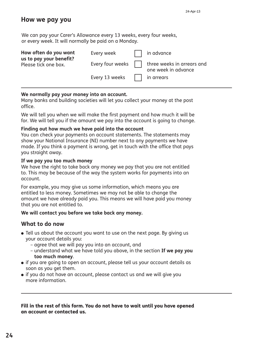## **How we pay you**

We can pay your Carer's Allowance every 13 weeks, every four weeks, or every week. It will normally be paid on a Monday.

| How often do you want<br>us to pay your benefit? | Every week       | in advance                                        |
|--------------------------------------------------|------------------|---------------------------------------------------|
| Please tick one box.                             | Every four weeks | three weeks in arrears and<br>one week in advance |
|                                                  | Every 13 weeks   | in arrears                                        |

### **We normally pay your money into an account.**

Many banks and building societies will let you collect your money at the post office.

We will tell you when we will make the first payment and how much it will be for. We will tell you if the amount we pay into the account is going to change.

### **Finding out how much we have paid into the account**

You can check your payments on account statements. The statements may show your National Insurance (NI) number next to any payments we have made. If you think a payment is wrong, get in touch with the office that pays you straight away.

### **If we pay you too much money**

We have the right to take back any money we pay that you are not entitled to. This may be because of the way the system works for payments into an account.

For example, you may give us some information, which means you are entitled to less money. Sometimes we may not be able to change the amount we have already paid you. This means we will have paid you money that you are not entitled to.

### **We will contact you before we take back any money.**

## **What to do now**

- Tell us about the account you want to use on the next page. By giving us your account details you:
	- agree that we will pay you into an account, and
	- understand what we have told you above, in the section **If we pay you too much money**.
- $\bullet$  if you are going to open an account, please tell us your account details as soon as you get them.
- $\bullet$  if you do not have an account, please contact us and we will give you more information.

### Fill in the rest of this form. You do not have to wait until you have opened an account or contacted us.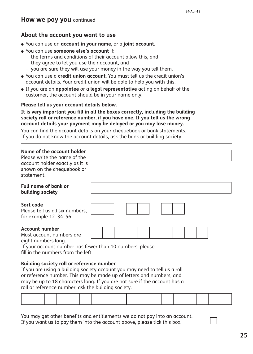## **About the account you want to use**

- <sup>l</sup> You can use an **account in your name**, or a **joint account**.
- <sup>l</sup> You can use **someone else's account** if:
	- the terms and conditions of their account allow this, and
	- they agree to let you use their account, and
	- you are sure they will use your money in the way you tell them.
- You can use a **credit union account**. You must tell us the credit union's account details. Your credit union will be able to help you with this.
- **.** If you are an **appointee** or a **legal representative** acting on behalf of the customer, the account should be in your name only.

### **Please tell us your account details below.**

### **It is very important you fill in all the boxes correctly, including the building society roll or reference number, if you have one. If you tell us the wrong account details your payment may be delayed or you may lose money.**

You can find the account details on your chequebook or bank statements. If you do not know the account details, ask the bank or building society.

| Name of the account holder<br>Please write the name of the<br>account holder exactly as it is<br>shown on the chequebook or<br>statement.                                                                                                                                                                                                  |  |  |  |  |  |  |  |  |  |
|--------------------------------------------------------------------------------------------------------------------------------------------------------------------------------------------------------------------------------------------------------------------------------------------------------------------------------------------|--|--|--|--|--|--|--|--|--|
| <b>Full name of bank or</b><br>building society                                                                                                                                                                                                                                                                                            |  |  |  |  |  |  |  |  |  |
| Sort code<br>Please tell us all six numbers,<br>for example $12-34-56$                                                                                                                                                                                                                                                                     |  |  |  |  |  |  |  |  |  |
| <b>Account number</b><br>Most account numbers are<br>eight numbers long.<br>If your account number has fewer than 10 numbers, please<br>fill in the numbers from the left.                                                                                                                                                                 |  |  |  |  |  |  |  |  |  |
| <b>Building society roll or reference number</b><br>If you are using a building society account you may need to tell us a roll<br>or reference number. This may be made up of letters and numbers, and<br>may be up to 18 characters long. If you are not sure if the account has a<br>roll or reference number, ask the building society. |  |  |  |  |  |  |  |  |  |
|                                                                                                                                                                                                                                                                                                                                            |  |  |  |  |  |  |  |  |  |

You may get other benefits and entitlements we do not pay into an account. If you want us to pay them into the account above, please tick this box.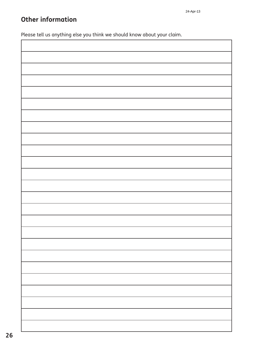# **Other information**

Please tell us anything else you think we should know about your claim.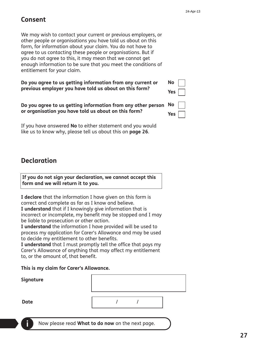## **Consent**

We may wish to contact your current or previous employers, or other people or organisations you have told us about on this form, for information about your claim. You do not have to agree to us contacting these people or organisations. But if you do not agree to this, it may mean that we cannot get enough information to be sure that you meet the conditions of entitlement for your claim.

**Do you agree to us getting information from any current or previous employer you have told us about on this form?**

**Do you agree to us getting information from any other person or organisation you have told us about on this form?**

If you have answered **No** to either statement and you would like us to know why, please tell us about this on **page 26**.

# **Declaration**

**If you do not sign your declaration, we cannot accept this form and we will return it to you.**

**I declare** that the information I have given on this form is correct and complete as far as I know and believe. **I understand** that if I knowingly give information that is incorrect or incomplete, my benefit may be stopped and I may

be liable to prosecution or other action.

**I understand** the information I have provided will be used to process my application for Carer's Allowance and may be used to decide my entitlement to other benefits.

**I understand** that I must promptly tell the office that pays my Carer's Allowance of anything that may affect my entitlement to, or the amount of, that benefit.

### **This is my claim for Carer's Allowance.**

| Signature |  |
|-----------|--|
|-----------|--|

| Signature   |  |  |  |
|-------------|--|--|--|
| <b>Date</b> |  |  |  |

Now please read **What to do now** on the next page. **i**

| No  |  |
|-----|--|
| Yes |  |
|     |  |

| No  |  |
|-----|--|
| Yes |  |